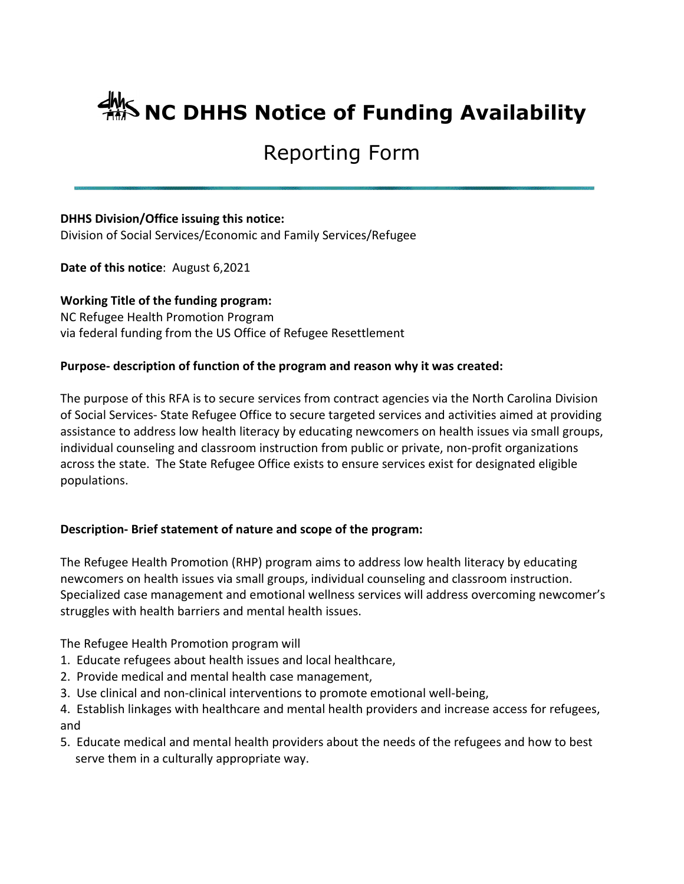# **ANS NC DHHS Notice of Funding Availability**

# Reporting Form

# **DHHS Division/Office issuing this notice:**

Division of Social Services/Economic and Family Services/Refugee

**Date of this notice**: August 6,2021

**Working Title of the funding program:** NC Refugee Health Promotion Program via federal funding from the US Office of Refugee Resettlement

# **Purpose- description of function of the program and reason why it was created:**

The purpose of this RFA is to secure services from contract agencies via the North Carolina Division of Social Services- State Refugee Office to secure targeted services and activities aimed at providing assistance to address low health literacy by educating newcomers on health issues via small groups, individual counseling and classroom instruction from public or private, non-profit organizations across the state. The State Refugee Office exists to ensure services exist for designated eligible populations.

# **Description- Brief statement of nature and scope of the program:**

The Refugee Health Promotion (RHP) program aims to address low health literacy by educating newcomers on health issues via small groups, individual counseling and classroom instruction. Specialized case management and emotional wellness services will address overcoming newcomer's struggles with health barriers and mental health issues.

The Refugee Health Promotion program will

- 1. Educate refugees about health issues and local healthcare,
- 2. Provide medical and mental health case management,
- 3. Use clinical and non-clinical interventions to promote emotional well-being,

4. Establish linkages with healthcare and mental health providers and increase access for refugees, and

5. Educate medical and mental health providers about the needs of the refugees and how to best serve them in a culturally appropriate way.